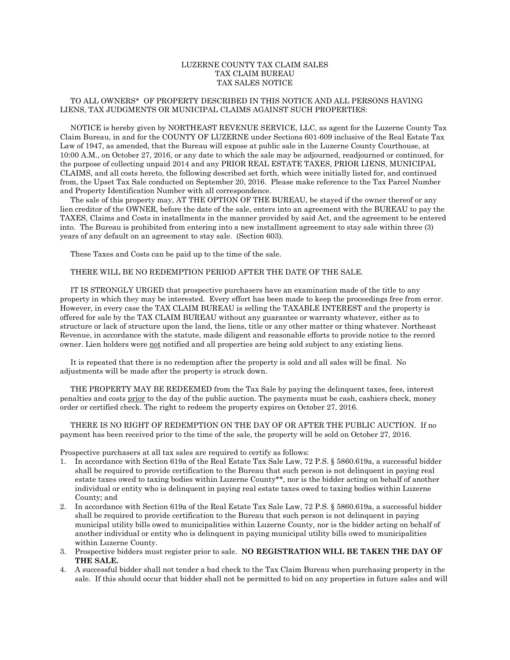## LUZERNE COUNTY TAX CLAIM SALES TAX CLAIM BUREAU TAX SALES NOTICE

## TO ALL OWNERS\* OF PROPERTY DESCRIBED IN THIS NOTICE AND ALL PERSONS HAVING LIENS, TAX JUDGMENTS OR MUNICIPAL CLAIMS AGAINST SUCH PROPERTIES:

 NOTICE is hereby given by NORTHEAST REVENUE SERVICE, LLC, as agent for the Luzerne County Tax Claim Bureau, in and for the COUNTY OF LUZERNE under Sections 601-609 inclusive of the Real Estate Tax Law of 1947, as amended, that the Bureau will expose at public sale in the Luzerne County Courthouse, at 10:00 A.M., on October 27, 2016, or any date to which the sale may be adjourned, readjourned or continued, for the purpose of collecting unpaid 2014 and any PRIOR REAL ESTATE TAXES, PRIOR LIENS, MUNICIPAL CLAIMS, and all costs hereto, the following described set forth, which were initially listed for, and continued from, the Upset Tax Sale conducted on September 20, 2016. Please make reference to the Tax Parcel Number and Property Identification Number with all correspondence.

 The sale of this property may, AT THE OPTION OF THE BUREAU, be stayed if the owner thereof or any lien creditor of the OWNER, before the date of the sale, enters into an agreement with the BUREAU to pay the TAXES, Claims and Costs in installments in the manner provided by said Act, and the agreement to be entered into. The Bureau is prohibited from entering into a new installment agreement to stay sale within three (3) years of any default on an agreement to stay sale. (Section 603).

These Taxes and Costs can be paid up to the time of the sale.

## THERE WILL BE NO REDEMPTION PERIOD AFTER THE DATE OF THE SALE.

 IT IS STRONGLY URGED that prospective purchasers have an examination made of the title to any property in which they may be interested. Every effort has been made to keep the proceedings free from error. However, in every case the TAX CLAIM BUREAU is selling the TAXABLE INTEREST and the property is offered for sale by the TAX CLAIM BUREAU without any guarantee or warranty whatever, either as to structure or lack of structure upon the land, the liens, title or any other matter or thing whatever. Northeast Revenue, in accordance with the statute, made diligent and reasonable efforts to provide notice to the record owner. Lien holders were not notified and all properties are being sold subject to any existing liens.

 It is repeated that there is no redemption after the property is sold and all sales will be final. No adjustments will be made after the property is struck down.

 THE PROPERTY MAY BE REDEEMED from the Tax Sale by paying the delinquent taxes, fees, interest penalties and costs prior to the day of the public auction. The payments must be cash, cashiers check, money order or certified check. The right to redeem the property expires on October 27, 2016.

 THERE IS NO RIGHT OF REDEMPTION ON THE DAY OF OR AFTER THE PUBLIC AUCTION. If no payment has been received prior to the time of the sale, the property will be sold on October 27, 2016.

Prospective purchasers at all tax sales are required to certify as follows:

- 1. In accordance with Section 619a of the Real Estate Tax Sale Law, 72 P.S. § 5860.619a, a successful bidder shall be required to provide certification to the Bureau that such person is not delinquent in paying real estate taxes owed to taxing bodies within Luzerne County\*\*, nor is the bidder acting on behalf of another individual or entity who is delinquent in paying real estate taxes owed to taxing bodies within Luzerne County; and
- 2. In accordance with Section 619a of the Real Estate Tax Sale Law, 72 P.S. § 5860.619a, a successful bidder shall be required to provide certification to the Bureau that such person is not delinquent in paying municipal utility bills owed to municipalities within Luzerne County, nor is the bidder acting on behalf of another individual or entity who is delinquent in paying municipal utility bills owed to municipalities within Luzerne County.
- 3. Prospective bidders must register prior to sale. **NO REGISTRATION WILL BE TAKEN THE DAY OF THE SALE.**
- 4. A successful bidder shall not tender a bad check to the Tax Claim Bureau when purchasing property in the sale. If this should occur that bidder shall not be permitted to bid on any properties in future sales and will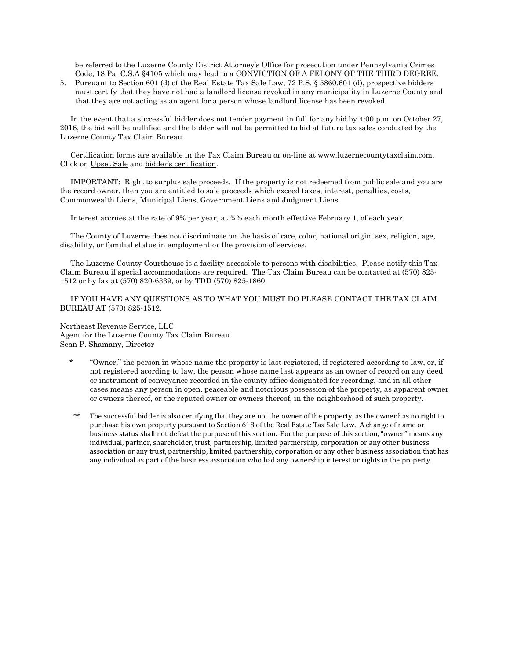be referred to the Luzerne County District Attorney's Office for prosecution under Pennsylvania Crimes Code, 18 Pa. C.S.A §4105 which may lead to a CONVICTION OF A FELONY OF THE THIRD DEGREE.

5. Pursuant to Section 601 (d) of the Real Estate Tax Sale Law, 72 P.S. § 5860.601 (d), prospective bidders must certify that they have not had a landlord license revoked in any municipality in Luzerne County and that they are not acting as an agent for a person whose landlord license has been revoked.

 In the event that a successful bidder does not tender payment in full for any bid by 4:00 p.m. on October 27, 2016, the bid will be nullified and the bidder will not be permitted to bid at future tax sales conducted by the Luzerne County Tax Claim Bureau.

 Certification forms are available in the Tax Claim Bureau or on-line at www.luzernecountytaxclaim.com. Click on Upset Sale and bidder's certification.

 IMPORTANT: Right to surplus sale proceeds. If the property is not redeemed from public sale and you are the record owner, then you are entitled to sale proceeds which exceed taxes, interest, penalties, costs, Commonwealth Liens, Municipal Liens, Government Liens and Judgment Liens.

Interest accrues at the rate of 9% per year, at  $\frac{3}{4}$ % each month effective February 1, of each year.

 The County of Luzerne does not discriminate on the basis of race, color, national origin, sex, religion, age, disability, or familial status in employment or the provision of services.

 The Luzerne County Courthouse is a facility accessible to persons with disabilities. Please notify this Tax Claim Bureau if special accommodations are required. The Tax Claim Bureau can be contacted at (570) 825- 1512 or by fax at (570) 820-6339, or by TDD (570) 825-1860.

 IF YOU HAVE ANY QUESTIONS AS TO WHAT YOU MUST DO PLEASE CONTACT THE TAX CLAIM BUREAU AT (570) 825-1512.

Northeast Revenue Service, LLC Agent for the Luzerne County Tax Claim Bureau Sean P. Shamany, Director

- \* "Owner," the person in whose name the property is last registered, if registered according to law, or, if not registered acording to law, the person whose name last appears as an owner of record on any deed or instrument of conveyance recorded in the county office designated for recording, and in all other cases means any person in open, peaceable and notorious possession of the property, as apparent owner or owners thereof, or the reputed owner or owners thereof, in the neighborhood of such property.
- \*\* The successful bidder is also certifying that they are not the owner of the property, as the owner has no right to purchase his own property pursuant to Section 618 of the Real Estate Tax Sale Law. A change of name or business status shall not defeat the purpose of this section. For the purpose of this section, "owner" means any individual, partner, shareholder, trust, partnership, limited partnership, corporation or any other business association or any trust, partnership, limited partnership, corporation or any other business association that has any individual as part of the business association who had any ownership interest or rights in the property.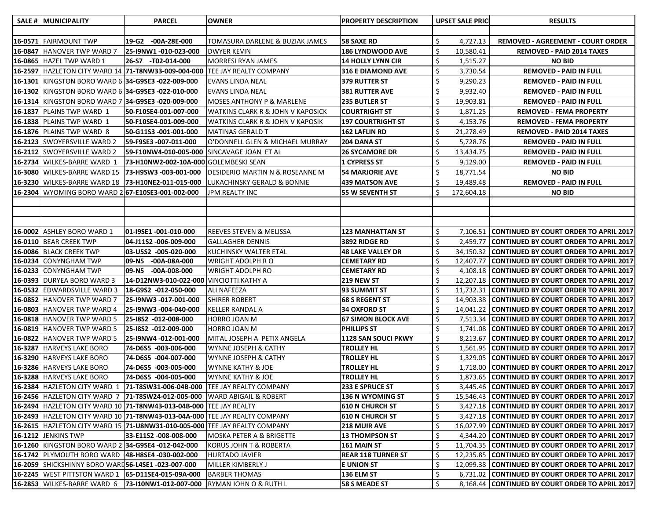| <b>SALE #  MUNICIPALITY</b>                            | <b>PARCEL</b>                                                         | <b>OWNER</b>                                                                          | <b>PROPERTY DESCRIPTION</b>          |    | <b>UPSET SALE PRICE</b> | <b>RESULTS</b>                                                                                     |
|--------------------------------------------------------|-----------------------------------------------------------------------|---------------------------------------------------------------------------------------|--------------------------------------|----|-------------------------|----------------------------------------------------------------------------------------------------|
|                                                        |                                                                       |                                                                                       |                                      |    |                         |                                                                                                    |
| 16-0571 FAIRMOUNT TWP                                  | 19-G2<br>-00A-28E-000                                                 | TOMASURA DARLENE & BUZIAK JAMES                                                       | <b>58 SAXE RD</b>                    | S. | 4,727.13                | <b>REMOVED - AGREEMENT - COURT ORDER</b>                                                           |
| <b>16-0847 HANOVER TWP WARD 7</b>                      | 25-I9NW1 -010-023-000                                                 | DWYER KEVIN                                                                           | <b>186 LYNDWOOD AVE</b>              |    | 10,580.41               | <b>REMOVED - PAID 2014 TAXES</b>                                                                   |
| 16-0865 HAZEL TWP WARD 1                               | 26-S7 -T02-014-000                                                    | <b>MORRESI RYAN JAMES</b>                                                             | <b>14 HOLLY LYNN CIR</b>             |    | 1,515.27                | <b>NO BID</b>                                                                                      |
| 16-2597 HAZLETON CITY WARD 14 71-T8NW33-009-004-000    |                                                                       | TEE JAY REALTY COMPANY                                                                | <b>316 E DIAMOND AVE</b>             |    | 3,730.54                | <b>REMOVED - PAID IN FULL</b>                                                                      |
| 16-1301 KINGSTON BORO WARD 6 34-G9SE3 -022-009-000     |                                                                       | <b>EVANS LINDA NEAL</b>                                                               | <b>379 RUTTER ST</b>                 |    | 9,290.23                | <b>REMOVED - PAID IN FULL</b>                                                                      |
| 16-1302 KINGSTON BORO WARD 6 34-G9SE3 -022-010-000     |                                                                       | <b>EVANS LINDA NEAL</b>                                                               | <b>381 RUTTER AVE</b>                |    | 9,932.40                | <b>REMOVED - PAID IN FULL</b>                                                                      |
| 16-1314  KINGSTON BORO WARD 7   34-G9SE3 -020-009-000  |                                                                       | <b>MOSES ANTHONY P &amp; MARLENE</b>                                                  | <b>235 BUTLER ST</b>                 |    | 19,903.81               | <b>REMOVED - PAID IN FULL</b>                                                                      |
| 16-1837  PLAINS TWP WARD 1                             | 50-F10SE4-001-007-000                                                 | WATKINS CLARK R & JOHN V KAPOSICK                                                     | <b>COURTRIGHT ST</b>                 |    | 1,871.25                | <b>REMOVED - FEMA PROPERTY</b>                                                                     |
| 16-1838   PLAINS TWP WARD 1                            | 50-F10SE4-001-009-000                                                 | WATKINS CLARK R & JOHN V KAPOSIK                                                      | <b>197 COURTRIGHT ST</b>             | \$ | 4,153.76                | <b>REMOVED - FEMA PROPERTY</b>                                                                     |
| <b>16-1876   PLAINS TWP WARD 8</b>                     | 50-G11S3 -001-001-000                                                 | <b>MATINAS GERALD T</b>                                                               | <b>162 LAFLIN RD</b>                 | \$ | 21,278.49               | <b>REMOVED - PAID 2014 TAXES</b>                                                                   |
| 16-2123  SWOYERSVILLE WARD 2                           | 59-F9SE3 -007-011-000                                                 | O'DONNELL GLEN & MICHAEL MURRAY                                                       | 204 DANA ST                          |    | 5,728.76                | <b>REMOVED - PAID IN FULL</b>                                                                      |
| 16-2112  SWOYERSVILLE WARD 2                           | 59-F10NW4-010-005-000                                                 | SINCAVAGE JOAN ET AL                                                                  | <b>26 SYCAMORE DR</b>                |    | 13,434.75               | <b>REMOVED - PAID IN FULL</b>                                                                      |
| 16-2734  WILKES-BARRE WARD 1                           | 73-H10NW2-002-10A-000 GOLEMBESKI SEAN                                 |                                                                                       | 1 CYPRESS ST                         |    | 9,129.00                | <b>REMOVED - PAID IN FULL</b>                                                                      |
| <b>16-3080  WILKES-BARRE WARD 15</b>                   | 73-H9SW3 -003-001-000                                                 | DESIDERIO MARTIN N & ROSEANNE M                                                       | <b>54 MARJORIE AVE</b>               |    | 18,771.54               | <b>NO BID</b>                                                                                      |
| 16-3230 WILKES-BARRE WARD 18                           | 73-H10NE2-011-015-000                                                 | LUKACHINSKY GERALD & BONNIE                                                           | <b>439 MATSON AVE</b>                |    | 19,489.48               | <b>REMOVED - PAID IN FULL</b>                                                                      |
| 16-2304  WYOMING BORO WARD 2 67-E10SE3-001-002-000     |                                                                       | <b>JPM REALTY INC</b>                                                                 | 55 W SEVENTH ST                      |    | 172,604.18              | <b>NO BID</b>                                                                                      |
|                                                        |                                                                       |                                                                                       |                                      |    |                         |                                                                                                    |
|                                                        |                                                                       |                                                                                       |                                      |    |                         |                                                                                                    |
|                                                        |                                                                       |                                                                                       |                                      |    |                         |                                                                                                    |
| 16-0002 ASHLEY BORO WARD 1                             | 01-I9SE1 -001-010-000                                                 | <b>REEVES STEVEN &amp; MELISSA</b>                                                    | <b>123 MANHATTAN ST</b>              | \$ |                         | 7,106.51 CONTINUED BY COURT ORDER TO APRIL 2017                                                    |
| <b>16-0110   BEAR CREEK TWP</b>                        | 04-J11S2 -006-009-000                                                 | <b>GALLAGHER DENNIS</b>                                                               | 3892 RIDGE RD                        |    |                         | 2,459.77 CONTINUED BY COURT ORDER TO APRIL 2017                                                    |
| 16-0086 BLACK CREEK TWP                                | 03-U5S2 -005-020-000                                                  | KUCHINSKY WALTER ETAL                                                                 | <b>48 LAKE VALLEY DR</b>             |    |                         | 34,150.32 CONTINUED BY COURT ORDER TO APRIL 2017                                                   |
| 16-0234 CONYNGHAM TWP                                  | 09-N5 -00A-08A-000                                                    | WRIGHT ADOLPH R O                                                                     | <b>CEMETARY RD</b>                   |    |                         | 12,407.77 CONTINUED BY COURT ORDER TO APRIL 2017                                                   |
| 16-0233 CONYNGHAM TWP                                  | 09-N5 -00A-008-000                                                    | WRIGHT ADOLPH RO                                                                      | <b>CEMETARY RD</b>                   |    |                         | 4,108.18 CONTINUED BY COURT ORDER TO APRIL 2017                                                    |
| 16-0393 DURYEA BORO WARD 3                             | 14-D12NW3-010-022-000 VINCIOTTI KATHY A                               |                                                                                       | 219 NEW ST                           |    |                         | 12,207.18 CONTINUED BY COURT ORDER TO APRIL 2017                                                   |
| 16-0532 EDWARDSVILLE WARD 3                            | 18-G9S2 -012-050-000                                                  | ALI NAFEEZA                                                                           | 93 SUMMIT ST                         |    |                         | 11,732.31 CONTINUED BY COURT ORDER TO APRIL 2017                                                   |
| 16-0852 HANOVER TWP WARD 7                             | 25-I9NW3 -017-001-000                                                 | <b>SHIRER ROBERT</b>                                                                  | <b>68 S REGENT ST</b>                |    |                         | 14,903.38 CONTINUED BY COURT ORDER TO APRIL 2017                                                   |
| 16-0803 HANOVER TWP WARD 4                             | 25-I9NW3 -004-040-000                                                 | <b>KELLER RANDAL A</b>                                                                | <b>34 OXFORD ST</b>                  |    |                         | 14,041.22 CONTINUED BY COURT ORDER TO APRIL 2017                                                   |
| 16-0818 HANOVER TWP WARD 5                             | 25-18S2 -012-008-000                                                  | HORRO JOAN M                                                                          | <b>67 SIMON BLOCK AVE</b>            |    |                         | 7,513.34 CONTINUED BY COURT ORDER TO APRIL 2017                                                    |
| 16-0819 HANOVER TWP WARD 5                             | 25-18S2 -012-009-000                                                  | HORRO JOAN M                                                                          | PHILLIPS ST                          |    |                         | 1,741.08 CONTINUED BY COURT ORDER TO APRIL 2017                                                    |
| <b>16-0822 HANOVER TWP WARD 5</b>                      | 25-I9NW4 -012-001-000                                                 | MITAL JOSEPH A PETIX ANGELA                                                           | 1128 SAN SOUCI PKWY                  |    |                         | 8,213.67 CONTINUED BY COURT ORDER TO APRIL 2017                                                    |
| 16-3287 HARVEYS LAKE BORO                              | 74-D6S5 -003-006-000                                                  | WYNNE JOSEPH & CATHY                                                                  | <b>TROLLEY HL</b>                    |    |                         | 1,561.95 CONTINUED BY COURT ORDER TO APRIL 2017                                                    |
| 16-3290 HARVEYS LAKE BORO                              | 74-D6S5 -004-007-000                                                  | WYNNE JOSEPH & CATHY                                                                  | <b>TROLLEY HL</b>                    |    |                         | 1,329.05 CONTINUED BY COURT ORDER TO APRIL 2017                                                    |
| 16-3286 HARVEYS LAKE BORO<br>16-3288 HARVEYS LAKE BORO | 74-D6S5 -003-005-000                                                  | WYNNE KATHY & JOE                                                                     | <b>TROLLEY HL</b>                    |    |                         | 1,718.00 CONTINUED BY COURT ORDER TO APRIL 2017                                                    |
| 16-2384   HAZLETON CITY WARD 1   71-T8SW31-006-04B-000 | 74-D6S5 -004-005-000                                                  | WYNNE KATHY & JOE<br>TEE JAY REALTY COMPANY                                           | <b>TROLLEY HL</b><br>233 E SPRUCE ST |    |                         | 1,873.65 CONTINUED BY COURT ORDER TO APRIL 2017<br>3,445.46 CONTINUED BY COURT ORDER TO APRIL 2017 |
| 16-2456 HAZLETON CITY WARD 7 71-T8SW24-012-005-000     |                                                                       | <b>WARD ABIGAIL &amp; ROBERT</b>                                                      | 136 N WYOMING ST                     |    |                         | 15,546.43 CONTINUED BY COURT ORDER TO APRIL 2017                                                   |
|                                                        | 16-2494  HAZLETON CITY WARD 10  71-T8NW43-013-04B-000  TEE JAY REALTY |                                                                                       | <b>610 N CHURCH ST</b>               |    |                         | 3,427.18 CONTINUED BY COURT ORDER TO APRIL 2017                                                    |
|                                                        |                                                                       | 16-2493  HAZLETON CITY WARD 10   <b>71-T8NW43-013-04A-000</b>  TEE JAY REALTY COMPANY | <b>610 N CHURCH ST</b>               |    |                         | 3,427.18 CONTINUED BY COURT ORDER TO APRIL 2017                                                    |
|                                                        |                                                                       | 16-2615  HAZLETON CITY WARD 15   <b>71-U8NW31-010-005-000</b>  TEE JAY REALTY COMPANY | <b>218 MUIR AVE</b>                  |    |                         | 16,027.99 CONTINUED BY COURT ORDER TO APRIL 2017                                                   |
| <b>16-1212 JENKINS TWP</b>                             | 33-E11S2 -008-008-000                                                 | MOSKA PETER A & BRIGETTE                                                              | <b>13 THOMPSON ST</b>                |    |                         | 4,344.20 CONTINUED BY COURT ORDER TO APRIL 2017                                                    |
| 16-1260 KINGSTON BORO WARD 2 34-G9SE4 -012-042-000     |                                                                       | KORUS JOHN T & ROBERTA                                                                | 161 MAIN ST                          |    |                         | 11,704.35 CONTINUED BY COURT ORDER TO APRIL 2017                                                   |
| 16-1742 PLYMOUTH BORO WARD   48-H8SE4 -030-002-000     |                                                                       | <b>HURTADO JAVIER</b>                                                                 | <b>REAR 118 TURNER ST</b>            |    |                         | 12,235.85 CONTINUED BY COURT ORDER TO APRIL 2017                                                   |
| 16-2059 SHICKSHINNY BORO WARD56-L4SE1 -023-007-000     |                                                                       | MILLER KIMBERLY J                                                                     | <b>E UNION ST</b>                    |    |                         | 12,099.38 CONTINUED BY COURT ORDER TO APRIL 2017                                                   |
| 16-2245   WEST PITTSTON WARD 1   65-D11SE4-015-09A-000 |                                                                       | <b>BARBER THOMAS</b>                                                                  | 136 ELM ST                           |    |                         | 6,731.02 CONTINUED BY COURT ORDER TO APRIL 2017                                                    |
| 16-2853  WILKES-BARRE WARD 6   73-I10NW1-012-007-000   |                                                                       | <b>RYMAN JOHN O &amp; RUTH L</b>                                                      | <b>58 S MEADE ST</b>                 |    |                         | 8,168.44 CONTINUED BY COURT ORDER TO APRIL 2017                                                    |